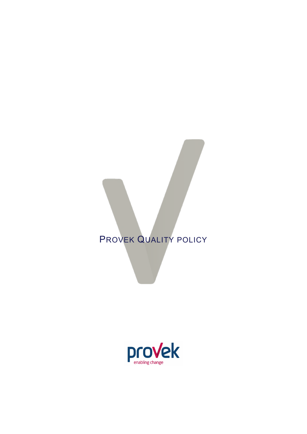# PROVEK QUALITY POLICY

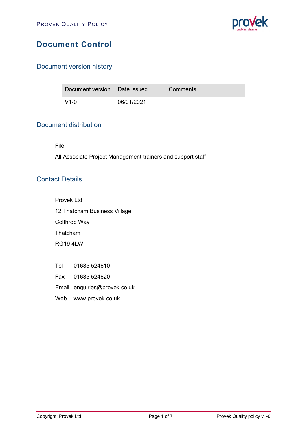

# **Document Control**

# Document version history

| Document version   Date issued |            | Comments |
|--------------------------------|------------|----------|
| $\overline{1}$ V1-0            | 06/01/2021 |          |

#### Document distribution

File

All Associate Project Management trainers and support staff

# Contact Details

Provek Ltd.

12 Thatcham Business Village

Colthrop Way

Thatcham

RG19 4LW

- Tel 01635 524610
- Fax 01635 524620

Email enquiries@provek.co.uk

Web [www.provek.co.uk](http://www.provek.co.uk/)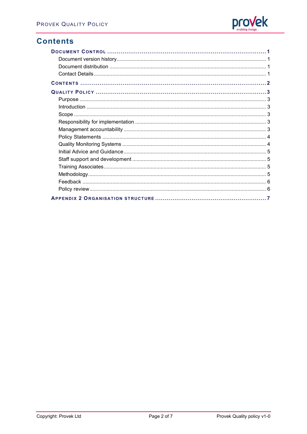

# **Contents**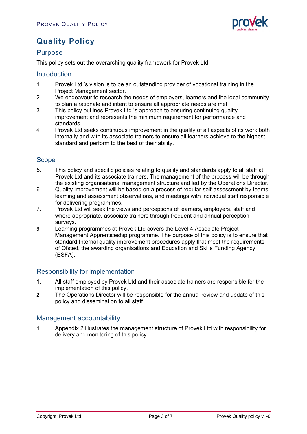

# **Quality Policy**

#### Purpose

This policy sets out the overarching quality framework for Provek Ltd.

#### **Introduction**

- 1. Provek Ltd.'s vision is to be an outstanding provider of vocational training in the Project Management sector.
- 2. We endeavour to research the needs of employers, learners and the local community to plan a rationale and intent to ensure all appropriate needs are met.
- 3. This policy outlines Provek Ltd.'s approach to ensuring continuing quality improvement and represents the minimum requirement for performance and standards.
- 4. Provek Ltd seeks continuous improvement in the quality of all aspects of its work both internally and with its associate trainers to ensure all learners achieve to the highest standard and perform to the best of their ability.

# Scope

- 5. This policy and specific policies relating to quality and standards apply to all staff at Provek Ltd and its associate trainers. The management of the process will be through the existing organisational management structure and led by the Operations Director.
- 6. Quality improvement will be based on a process of regular self-assessment by teams, learning and assessment observations, and meetings with individual staff responsible for delivering programmes.
- 7. Provek Ltd will seek the views and perceptions of learners, employers, staff and where appropriate, associate trainers through frequent and annual perception surveys.
- 8. Learning programmes at Provek Ltd covers the Level 4 Associate Project Management Apprenticeship programme. The purpose of this policy is to ensure that standard Internal quality improvement procedures apply that meet the requirements of Ofsted, the awarding organisations and Education and Skills Funding Agency (ESFA).

### Responsibility for implementation

- 1. All staff employed by Provek Ltd and their associate trainers are responsible for the implementation of this policy.
- 2. The Operations Director will be responsible for the annual review and update of this policy and dissemination to all staff.

#### Management accountability

1. Appendix 2 illustrates the management structure of Provek Ltd with responsibility for delivery and monitoring of this policy.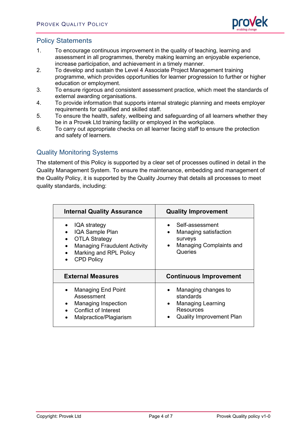

### Policy Statements

- 1. To encourage continuous improvement in the quality of teaching, learning and assessment in all programmes, thereby making learning an enjoyable experience, increase participation, and achievement in a timely manner.
- 2. To develop and sustain the Level 4 Associate Project Management training programme, which provides opportunities for learner progression to further or higher education or employment.
- 3. To ensure rigorous and consistent assessment practice, which meet the standards of external awarding organisations.
- 4. To provide information that supports internal strategic planning and meets employer requirements for qualified and skilled staff.
- 5. To ensure the health, safety, wellbeing and safeguarding of all learners whether they be in a Provek Ltd training facility or employed in the workplace.
- 6. To carry out appropriate checks on all learner facing staff to ensure the protection and safety of learners.

# Quality Monitoring Systems

The statement of this Policy is supported by a clear set of processes outlined in detail in the Quality Management System. To ensure the maintenance, embedding and management of the Quality Policy, it is supported by the Quality Journey that details all processes to meet quality standards, including:

| <b>Internal Quality Assurance</b>                                                                                                             | <b>Quality Improvement</b>                                                                                          |
|-----------------------------------------------------------------------------------------------------------------------------------------------|---------------------------------------------------------------------------------------------------------------------|
| IQA strategy<br>IQA Sample Plan<br><b>OTLA Strategy</b><br><b>Managing Fraudulent Activity</b><br>Marking and RPL Policy<br><b>CPD Policy</b> | Self-assessment<br>Managing satisfaction<br>$\bullet$<br>surveys<br>Managing Complaints and<br>$\bullet$<br>Queries |
|                                                                                                                                               |                                                                                                                     |
| <b>External Measures</b>                                                                                                                      | <b>Continuous Improvement</b>                                                                                       |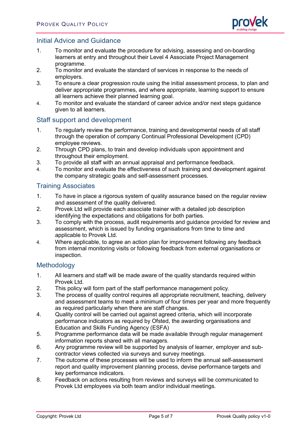

#### Initial Advice and Guidance

- 1. To monitor and evaluate the procedure for advising, assessing and on-boarding learners at entry and throughout their Level 4 Associate Project Management programme.
- 2. To monitor and evaluate the standard of services in response to the needs of employers.
- 3. To ensure a clear progression route using the initial assessment process, to plan and deliver appropriate programmes, and where appropriate, learning support to ensure all learners achieve their planned learning goal.
- 4. To monitor and evaluate the standard of career advice and/or next steps guidance given to all learners.

#### Staff support and development

- 1. To regularly review the performance, training and developmental needs of all staff through the operation of company Continual Professional Development (CPD) employee reviews.
- 2. Through CPD plans, to train and develop individuals upon appointment and throughout their employment.
- 3. To provide all staff with an annual appraisal and performance feedback.
- 4. To monitor and evaluate the effectiveness of such training and development against the company strategic goals and self-assessment processes.

#### Training Associates

- 1. To have in place a rigorous system of quality assurance based on the regular review and assessment of the quality delivered.
- 2. Provek Ltd will provide each associate trainer with a detailed job description identifying the expectations and obligations for both parties.
- 3. To comply with the process, audit requirements and guidance provided for review and assessment, which is issued by funding organisations from time to time and applicable to Provek Ltd.
- 4. Where applicable, to agree an action plan for improvement following any feedback from internal monitoring visits or following feedback from external organisations or inspection.

#### Methodology

- 1. All learners and staff will be made aware of the quality standards required within Provek Ltd.
- 2. This policy will form part of the staff performance management policy.<br>3. The process of quality control requires all appropriate recruitment, tea
- The process of quality control requires all appropriate recruitment, teaching, delivery and assessment teams to meet a minimum of four times per year and more frequently as required particularly when there are staff changes.
- 4. Quality control will be carried out against agreed criteria, which will incorporate performance indicators as required by Ofsted, the awarding organisations and Education and Skills Funding Agency (ESFA)
- 5. Programme performance data will be made available through regular management information reports shared with all managers.
- 6. Any programme review will be supported by analysis of learner, employer and subcontractor views collected via surveys and survey meetings.
- 7. The outcome of these processes will be used to inform the annual self-assessment report and quality improvement planning process, devise performance targets and key performance indicators.
- 8. Feedback on actions resulting from reviews and surveys will be communicated to Provek Ltd employees via both team and/or individual meetings.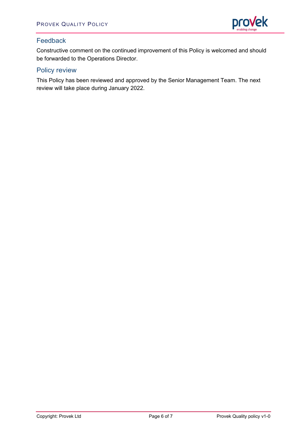

# Feedback

Constructive comment on the continued improvement of this Policy is welcomed and should be forwarded to the Operations Director.

### Policy review

This Policy has been reviewed and approved by the Senior Management Team. The next review will take place during January 2022.